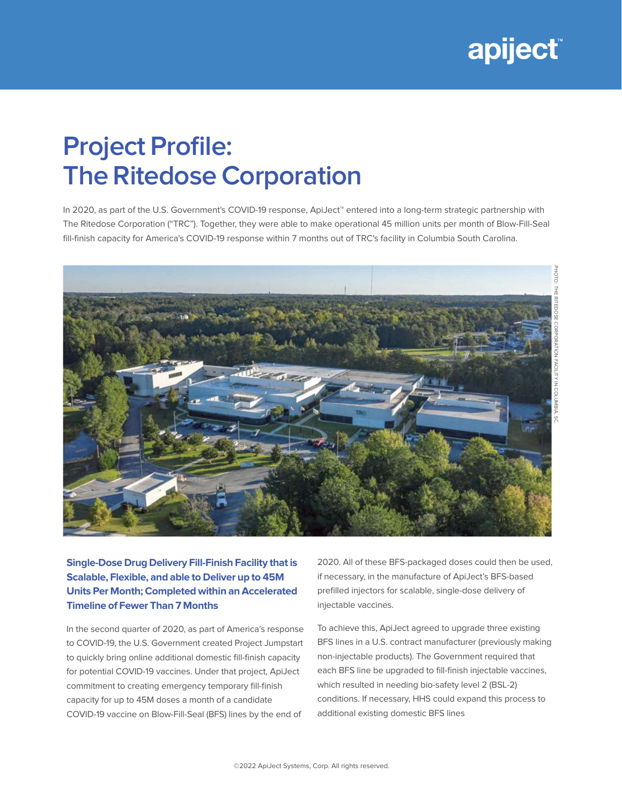

## **Project Profile: The Ritedose Corporation**

In 2020, as part of the U.S. Government's COVID-19 response, ApiJect™ entered into a long-term strategic partnership with The Ritedose Corporation ("TRC"). Together, they were able to make operational 45 million units per month of Blow-Fill-Seal fill-finish capacity for America's COVID-19 response within 7 months out of TRC's facility in Columbia South Carolina.



**Single-Dose Drug Delivery Fill-Finish Facility that is Scalable, Flexible, and able to Deliver up to 45M Units Per Month; Completed within an Accelerated Timeline of Fewer Than 7 Months**

In the second quarter of 2020, as part of America's response to COVID-19, the U.S. Government created Project Jumpstart to quickly bring online additional domestic fill-finish capacity for potential COVID-19 vaccines. Under that project, ApiJect commitment to creating emergency temporary fill-finish capacity for up to 45M doses a month of a candidate COVID-19 vaccine on Blow-Fill-Seal (BFS) lines by the end of

2020. All of these BFS-packaged doses could then be used, if necessary, in the manufacture of ApiJect's BFS-based prefilled injectors for scalable, single-dose delivery of injectable vaccines.

To achieve this, ApiJect agreed to upgrade three existing BFS lines in a U.S. contract manufacturer (previously making non-injectable products). The Government required that each BFS line be upgraded to fill-finish injectable vaccines, which resulted in needing bio-safety level 2 (BSL-2) conditions. If necessary, HHS could expand this process to additional existing domestic BFS lines